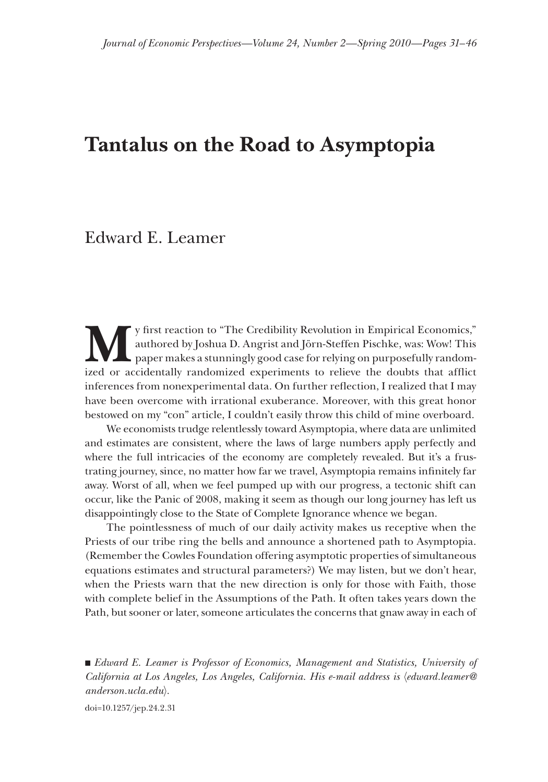# **Tantalus on the Road to Asymptopia**

## Edward E. Leamer

**M**y first reaction to "The Credibility Revolution in Empirical Economics," authored by Joshua D. Angrist and Jörn-Steffen Pischke, was: Wow! This paper makes a stunningly good case for relying on purposefully randomized o authored by Joshua D. Angrist and Jörn-Steffen Pischke, was: Wow! This  $\mathsf L$  paper makes a stunningly good case for relying on purposefully randomized or accidentally randomized experiments to relieve the doubts that afflict inferences from nonexperimental data. On further reflection, I realized that I may have been overcome with irrational exuberance. Moreover, with this great honor bestowed on my "con" article, I couldn't easily throw this child of mine overboard.

We economists trudge relentlessly toward Asymptopia, where data are unlimited and estimates are consistent, where the laws of large numbers apply perfectly and where the full intricacies of the economy are completely revealed. But it's a frustrating journey, since, no matter how far we travel, Asymptopia remains infinitely far away. Worst of all, when we feel pumped up with our progress, a tectonic shift can occur, like the Panic of 2008, making it seem as though our long journey has left us disappointingly close to the State of Complete Ignorance whence we began.

The pointlessness of much of our daily activity makes us receptive when the Priests of our tribe ring the bells and announce a shortened path to Asymptopia. (Remember the Cowles Foundation offering asymptotic properties of simultaneous equations estimates and structural parameters?) We may listen, but we don't hear, when the Priests warn that the new direction is only for those with Faith, those with complete belief in the Assumptions of the Path. It often takes years down the Path, but sooner or later, someone articulates the concerns that gnaw away in each of

doi=10.1257/jep.24.2.31

<sup>■</sup> Edward E. Leamer is Professor of Economics, Management and Statistics, University of California at Los Angeles, Los Angeles, California. His e-mail address is (edward.leamer@  $anderson.ucla.edu\rangle.$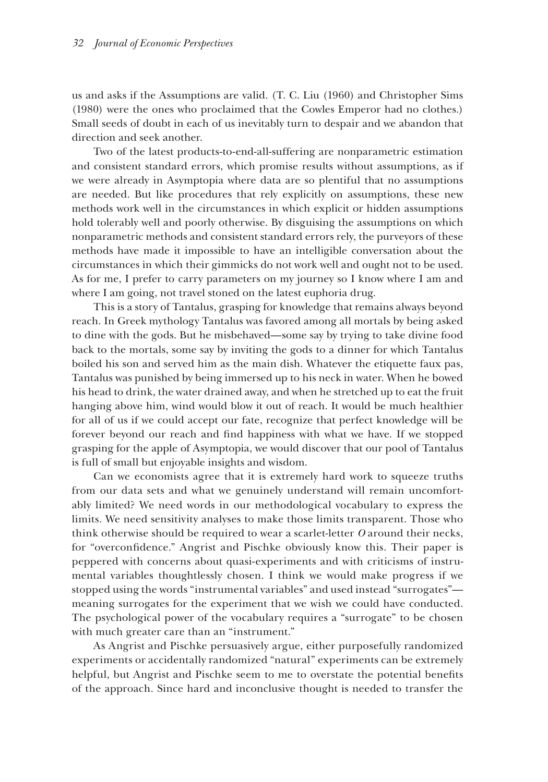us and asks if the Assumptions are valid. (T. C. Liu (1960) and Christopher Sims (1980) were the ones who proclaimed that the Cowles Emperor had no clothes.) Small seeds of doubt in each of us inevitably turn to despair and we abandon that direction and seek another.

Two of the latest products-to-end-all-suffering are nonparametric estimation and consistent standard errors, which promise results without assumptions, as if we were already in Asymptopia where data are so plentiful that no assumptions are needed. But like procedures that rely explicitly on assumptions, these new methods work well in the circumstances in which explicit or hidden assumptions hold tolerably well and poorly otherwise. By disguising the assumptions on which nonparametric methods and consistent standard errors rely, the purveyors of these methods have made it impossible to have an intelligible conversation about the circumstances in which their gimmicks do not work well and ought not to be used. As for me, I prefer to carry parameters on my journey so I know where I am and where I am going, not travel stoned on the latest euphoria drug.

This is a story of Tantalus, grasping for knowledge that remains always beyond reach. In Greek mythology Tantalus was favored among all mortals by being asked to dine with the gods. But he misbehaved—some say by trying to take divine food back to the mortals, some say by inviting the gods to a dinner for which Tantalus boiled his son and served him as the main dish. Whatever the etiquette faux pas, Tantalus was punished by being immersed up to his neck in water. When he bowed his head to drink, the water drained away, and when he stretched up to eat the fruit hanging above him, wind would blow it out of reach. It would be much healthier for all of us if we could accept our fate, recognize that perfect knowledge will be forever beyond our reach and find happiness with what we have. If we stopped grasping for the apple of Asymptopia, we would discover that our pool of Tantalus is full of small but enjoyable insights and wisdom.

Can we economists agree that it is extremely hard work to squeeze truths from our data sets and what we genuinely understand will remain uncomfortably limited? We need words in our methodological vocabulary to express the bly limited? We need words in our methodological vocabulary to express the limits. We need sensitivity analyses to make those limits transparent. Those who think otherwise should be required to wear a scarlet-letter  $O$  around their necks, for "overconfidence." Angrist and Pischke obviously know this. Their paper is peppered with concerns about quasi-experiments and with criticisms of instrumental variables thoughtlessly chosen. I think we would make progress if we stopped using the words "instrumental variables" and used instead "surrogates" meaning surrogates for the experiment that we wish we could have conducted. The psychological power of the vocabulary requires a "surrogate" to be chosen with much greater care than an "instrument."

As Angrist and Pischke persuasively argue, either purposefully randomized experiments or accidentally randomized "natural" experiments can be extremely helpful, but Angrist and Pischke seem to me to overstate the potential benefits of the approach. Since hard and inconclusive thought is needed to transfer the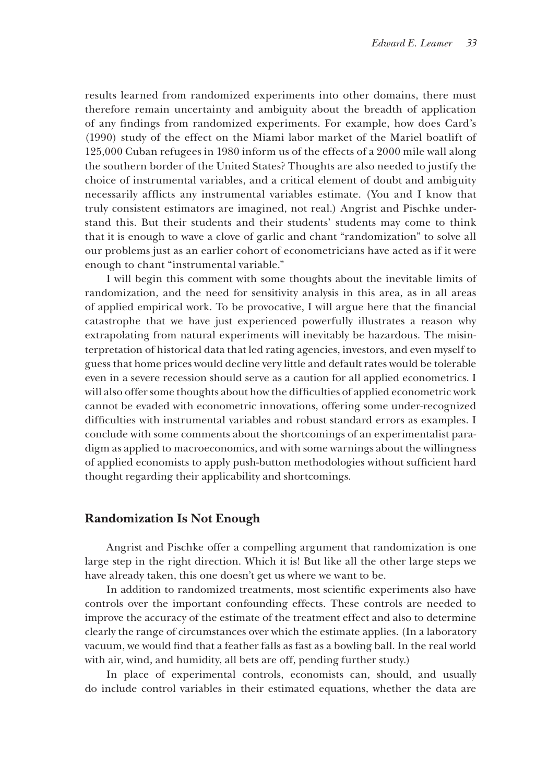results learned from randomized experiments into other domains, there must therefore remain uncertainty and ambiguity about the breadth of application herefore remain uncertainty and ambiguity about the breadth of application of any findings from randomized experiments. For example, how does Card's (1990) study of the effect on the Miami labor market of the Mariel boatlift of 1990) study of the effect on the Miami labor market of the Mariel boatlift of 125,000 Cuban refugees in 1980 inform us of the effects of a 2000 mile wall along 25,000 Cuban refugees in 1980 inform us of the effects of a 2000 mile wall along the southern border of the United States? Thoughts are also needed to justify the choice of instrumental variables, and a critical element of doubt and ambiguity hoice of instrumental variables, and a critical element of doubt and ambiguity necessarily afflicts any instrumental variables estimate. (You and I know that truly consistent estimators are imagined, not real.) Angrist and Pischke under- ruly consistent estimators are imagined, not real.) Angrist and Pischke understand this. But their students and their students' students may come to think that it is enough to wave a clove of garlic and chant "randomization" to solve all our problems just as an earlier cohort of econometricians have acted as if it were enough to chant "instrumental variable."

I will begin this comment with some thoughts about the inevitable limits of randomization, and the need for sensitivity analysis in this area, as in all areas of applied empirical work. To be provocative, I will argue here that the financial catastrophe that we have just experienced powerfully illustrates a reason why extrapolating from natural experiments will inevitably be hazardous. The misinterpretation of historical data that led rating agencies, investors, and even myself to guess that home prices would decline very little and default rates would be tolerable even in a severe recession should serve as a caution for all applied econometrics. I will also offer some thoughts about how the difficulties of applied econometric work cannot be evaded with econometric innovations, offering some under-recognized difficulties with instrumental variables and robust standard errors as examples. I conclude with some comments about the shortcomings of an experimentalist paradigm as applied to macroeconomics, and with some warnings about the willingness of applied economists to apply push-button methodologies without sufficient hard thought regarding their applicability and shortcomings.

## **Randomization Is Not Enough**

Angrist and Pischke offer a compelling argument that randomization is one large step in the right direction. Which it is! But like all the other large steps we have already taken, this one doesn't get us where we want to be.

In addition to randomized treatments, most scientific experiments also have controls over the important confounding effects. These controls are needed to improve the accuracy of the estimate of the treatment effect and also to determine clearly the range of circumstances over which the estimate applies. (In a laboratory vacuum, we would find that a feather falls as fast as a bowling ball. In the real world with air, wind, and humidity, all bets are off, pending further study.)

In place of experimental controls, economists can, should, and usually do include control variables in their estimated equations, whether the data are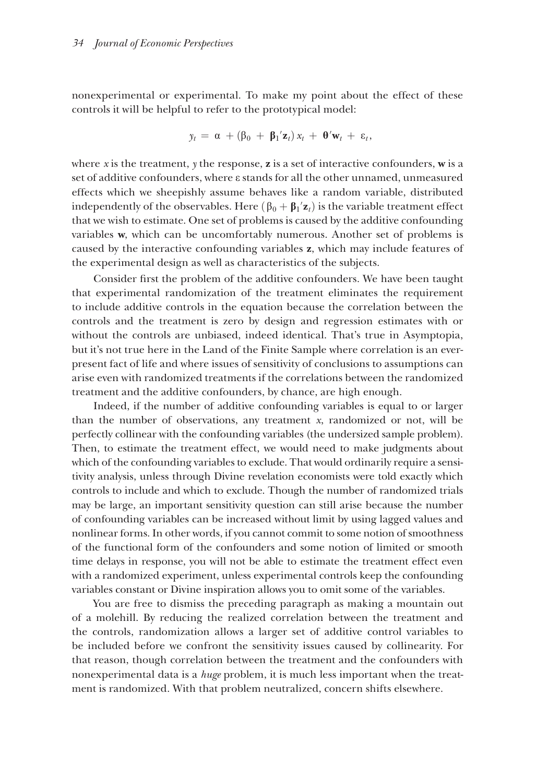nonexperimental or experimental. To make my point about the effect of these controls it will be helpful to refer to the prototypical model:

$$
y_t = \alpha + (\beta_0 + \beta_1' \mathbf{z}_t) x_t + \mathbf{\theta}' \mathbf{w}_t + \varepsilon_t,
$$

where *x* is the treatment, *y* the response, **z** is a set of interactive confounders, **w** is a set of additive confounders, where ε stands for all the other unnamed, unmeasured effects which we sheepishly assume behaves like a random variable, distributed independently of the observables. Here  $(\beta_0 + \beta_1' \mathbf{z}_t)$  is the variable treatment effect that we wish to estimate. One set of problems is caused by the additive confounding variables **w**, which can be uncomfortably numerous. Another set of problems is caused by the interactive confounding variables **z**, which may include features of the experimental design as well as characteristics of the subjects.

Consider first the problem of the additive confounders. We have been taught that experimental randomization of the treatment eliminates the requirement to include additive controls in the equation because the correlation between the controls and the treatment is zero by design and regression estimates with or without the controls are unbiased, indeed identical. That's true in Asymptopia, but it's not true here in the Land of the Finite Sample where correlation is an everpresent fact of life and where issues of sensitivity of conclusions to assumptions can arise even with randomized treatments if the correlations between the randomized treatment and the additive confounders, by chance, are high enough.

Indeed, if the number of additive confounding variables is equal to or larger than the number of observations, any treatment  $x$ , randomized or not, will be perfectly collinear with the confounding variables (the undersized sample problem). Then, to estimate the treatment effect, we would need to make judgments about which of the confounding variables to exclude. That would ordinarily require a sensitivity analysis, unless through Divine revelation economists were told exactly which ivity analysis, unless through Divine revelation economists were told exactly which controls to include and which to exclude. Though the number of randomized trials may be large, an important sensitivity question can still arise because the number of confounding variables can be increased without limit by using lagged values and nonlinear forms. In other words, if you cannot commit to some notion of smoothness of the functional form of the confounders and some notion of limited or smooth time delays in response, you will not be able to estimate the treatment effect even with a randomized experiment, unless experimental controls keep the confounding variables constant or Divine inspiration allows you to omit some of the variables.

You are free to dismiss the preceding paragraph as making a mountain out of a molehill. By reducing the realized correlation between the treatment and the controls, randomization allows a larger set of additive control variables to be included before we confront the sensitivity issues caused by collinearity. For that reason, though correlation between the treatment and the confounders with hat reason, though correlation between the treatment and the confounders with nonexperimental data is a *huge* problem, it is much less important when the treatment is randomized. With that problem neutralized, concern shifts elsewhere.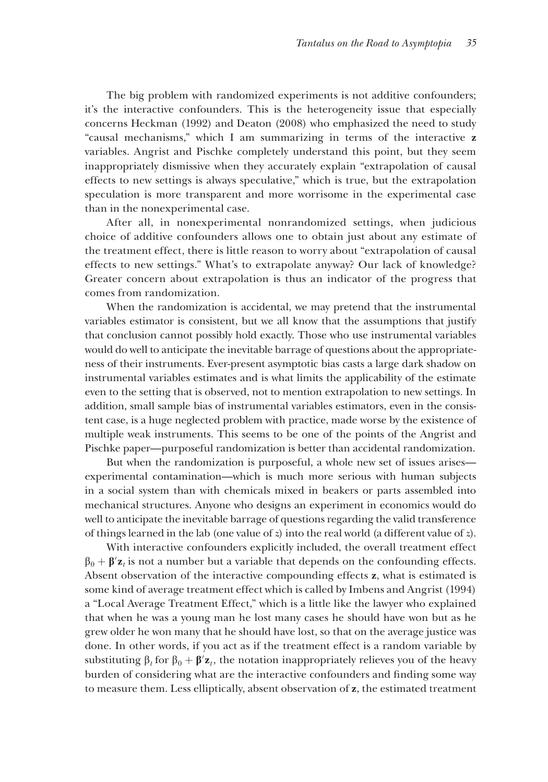The big problem with randomized experiments is not additive confounders; it's the interactive confounders. This is the heterogeneity issue that especially concerns Heckman (1992) and Deaton (2008) who emphasized the need to study "causal mechanisms," which I am summarizing in terms of the interactive causal mechanisms," which I am summarizing in terms of the interactive **z** variables. Angrist and Pischke completely understand this point, but they seem inappropriately dismissive when they accurately explain "extrapolation of causal effects to new settings is always speculative," which is true, but the extrapolation speculation is more transparent and more worrisome in the experimental case than in the nonexperimental case.

After all, in nonexperimental nonrandomized settings, when judicious choice of additive confounders allows one to obtain just about any estimate of hoice of additive confounders allows one to obtain just about any estimate of the treatment effect, there is little reason to worry about "extrapolation of causal effects to new settings." What's to extrapolate anyway? Our lack of knowledge? Greater concern about extrapolation is thus an indicator of the progress that comes from randomization.

When the randomization is accidental, we may pretend that the instrumental variables estimator is consistent, but we all know that the assumptions that justify that conclusion cannot possibly hold exactly. Those who use instrumental variables would do well to anticipate the inevitable barrage of questions about the appropriateness of their instruments. Ever-present asymptotic bias casts a large dark shadow on instrumental variables estimates and is what limits the applicability of the estimate even to the setting that is observed, not to mention extrapolation to new settings. In addition, small sample bias of instrumental variables estimators, even in the consistent case, is a huge neglected problem with practice, made worse by the existence of multiple weak instruments. This seems to be one of the points of the Angrist and Pischke paper—purposeful randomization is better than accidental randomization.

But when the randomization is purposeful, a whole new set of issues arises experimental contamination—which is much more serious with human subjects in a social system than with chemicals mixed in beakers or parts assembled into mechanical structures. Anyone who designs an experiment in economics would do well to anticipate the inevitable barrage of questions regarding the valid transference of things learned in the lab (one value of  $z$ ) into the real world (a different value of  $z$ ).

With interactive confounders explicitly included, the overall treatment effect  $\beta_0 + \beta' z_t$  is not a number but a variable that depends on the confounding effects. Absent observation of the interactive compounding effects **z**, what is estimated is some kind of average treatment effect which is called by Imbens and Angrist (1994) a "Local Average Treatment Effect," which is a little like the lawyer who explained that when he was a young man he lost many cases he should have won but as he grew older he won many that he should have lost, so that on the average justice was done. In other words, if you act as if the treatment effect is a random variable by substituting  $β_t$  for  $β_0 + β′$ **z**<sub>t</sub>, the notation inappropriately relieves you of the heavy burden of considering what are the interactive confounders and finding some way to measure them. Less elliptically, absent observation of **z**, the estimated treatment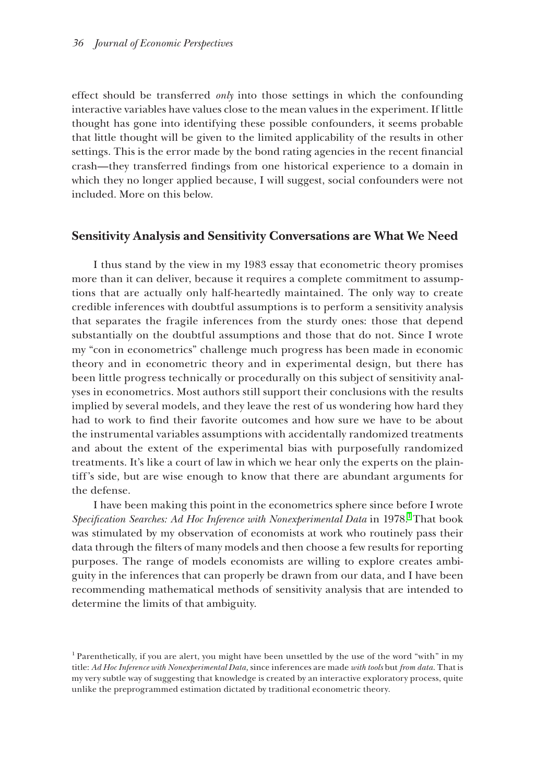effect should be transferred *only* into those settings in which the confounding interactive variables have values close to the mean values in the experiment. If little thought has gone into identifying these possible confounders, it seems probable that little thought will be given to the limited applicability of the results in other hat little thought will be given to the limited applicability of the results in other settings. This is the error made by the bond rating agencies in the recent financial crash—they transferred findings from one historical experience to a domain in which they no longer applied because, I will suggest, social confounders were not included. More on this below.

## **Sensitivity Analysis and Sensitivity Conversations are What We Need ensitivity Analysis and Sensitivity Conversations are What We**

I thus stand by the view in my 1983 essay that econometric theory promises more than it can deliver, because it requires a complete commitment to assumptions that are actually only half-heartedly maintained. The only way to create credible inferences with doubtful assumptions is to perform a sensitivity analysis that separates the fragile inferences from the sturdy ones: those that depend substantially on the doubtful assumptions and those that do not. Since I wrote my "con in econometrics" challenge much progress has been made in economic theory and in econometric theory and in experimental design, but there has been little progress technically or procedurally on this subject of sensitivity analyses in econometrics. Most authors still support their conclusions with the results implied by several models, and they leave the rest of us wondering how hard they had to work to find their favorite outcomes and how sure we have to be about the instrumental variables assumptions with accidentally randomized treatments he instrumental variables assumptions with accidentally randomized treatments and about the extent of the experimental bias with purposefully randomized treatments. It's like a court of law in which we hear only the experts on the plaintiff's side, but are wise enough to know that there are abundant arguments for iff's side, but are wise enough to know that there are abundant arguments for the defense.

I have been making this point in the econometrics sphere since before I wrote Specification Searches: Ad Hoc Inference with Nonexperimental Data in 1978.<sup>1</sup> That book was stimulated by my observation of economists at work who routinely pass their data through the filters of many models and then choose a few results for reporting purposes. The range of models economists are willing to explore creates ambiguity in the inferences that can properly be drawn from our data, and I have been recommending mathematical methods of sensitivity analysis that are intended to determine the limits of that ambiguity.

<sup>1</sup> Parenthetically, if you are alert, you might have been unsettled by the use of the word "with" in my title: *Ad Hoc Inference with Nonexperimental Data,* since inferences are made *with tools* but *from data*. That is my very subtle way of suggesting that knowledge is created by an interactive exploratory process, quite unlike the preprogrammed estimation dictated by traditional econometric theory.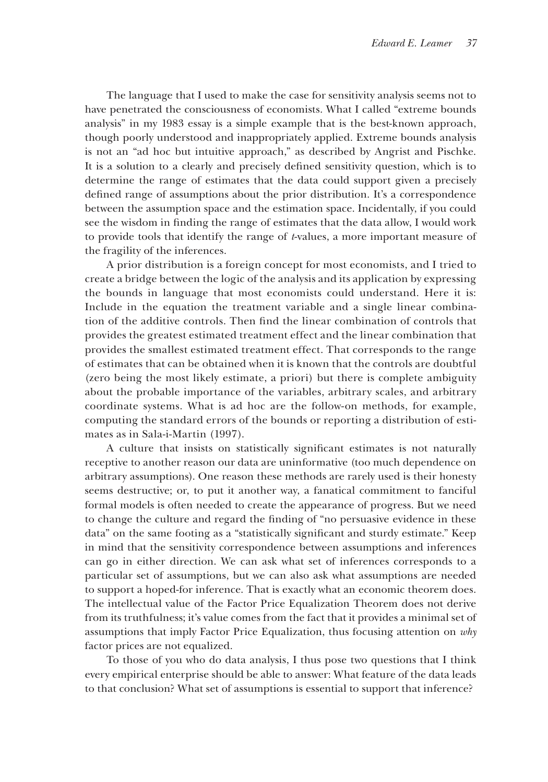The language that I used to make the case for sensitivity analysis seems not to have penetrated the consciousness of economists. What I called "extreme bounds analysis" in my 1983 essay is a simple example that is the best-known approach, though poorly understood and inappropriately applied. Extreme bounds analysis is not an "ad hoc but intuitive approach," as described by Angrist and Pischke. It is a solution to a clearly and precisely defined sensitivity question, which is to determine the range of estimates that the data could support given a precisely defined range of assumptions about the prior distribution. It's a correspondence between the assumption space and the estimation space. Incidentally, if you could see the wisdom in finding the range of estimates that the data allow, I would work to provide tools that identify the range of *t*-values, a more important measure of the fragility of the inferences.

A prior distribution is a foreign concept for most economists, and I tried to create a bridge between the logic of the analysis and its application by expressing the bounds in language that most economists could understand. Here it is: Include in the equation the treatment variable and a single linear combination of the additive controls. Then find the linear combination of controls that provides the greatest estimated treatment effect and the linear combination that provides the smallest estimated treatment effect. That corresponds to the range of estimates that can be obtained when it is known that the controls are doubtful (zero being the most likely estimate, a priori) but there is complete ambiguity about the probable importance of the variables, arbitrary scales, and arbitrary coordinate systems. What is ad hoc are the follow-on methods, for example, computing the standard errors of the bounds or reporting a distribution of estimates as in Sala-i-Martin (1997).

A culture that insists on statistically significant estimates is not naturally receptive to another reason our data are uninformative (too much dependence on arbitrary assumptions). One reason these methods are rarely used is their honesty seems destructive; or, to put it another way, a fanatical commitment to fanciful formal models is often needed to create the appearance of progress. But we need to change the culture and regard the finding of "no persuasive evidence in these data" on the same footing as a "statistically significant and sturdy estimate." Keep in mind that the sensitivity correspondence between assumptions and inferences can go in either direction. We can ask what set of inferences corresponds to a particular set of assumptions, but we can also ask what assumptions are needed to support a hoped-for inference. That is exactly what an economic theorem does. The intellectual value of the Factor Price Equalization Theorem does not derive from its truthfulness; it's value comes from the fact that it provides a minimal set of assumptions that imply Factor Price Equalization, thus focusing attention on *why* factor prices are not equalized.

To those of you who do data analysis, I thus pose two questions that I think every empirical enterprise should be able to answer: What feature of the data leads to that conclusion? What set of assumptions is essential to support that inference?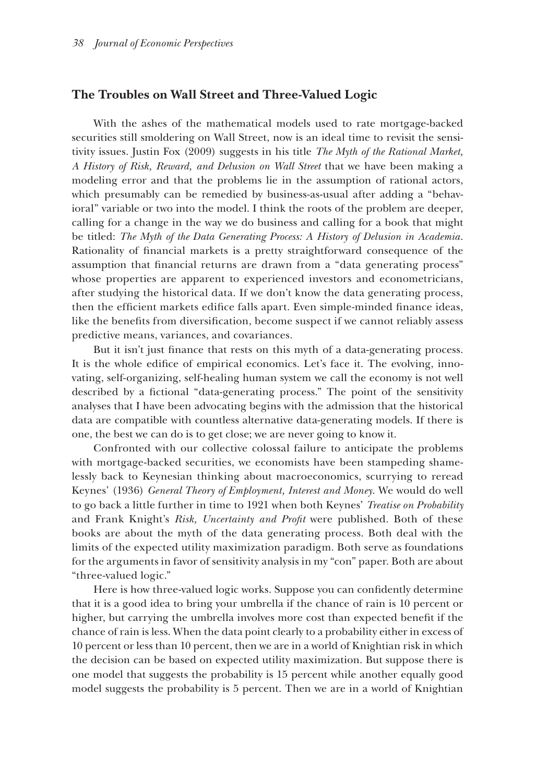## **The Troubles on Wall Street and Three-Valued Logic**

With the ashes of the mathematical models used to rate mortgage-backed securities still smoldering on Wall Street, now is an ideal time to revisit the sensitivity issues. Justin Fox (2009) suggests in his title *The Myth of the Rational Market*, *A History of Risk, Reward, and Delusion on Wall Street* that we have been making a that we have been making a modeling error and that the problems lie in the assumption of rational actors, which presumably can be remedied by business-as-usual after adding a "behavioral" variable or two into the model. I think the roots of the problem are deeper, calling for a change in the way we do business and calling for a book that might be titled: *The Myth of the Data Generating Process: A History of Delusion in Academia*. Rationality of financial markets is a pretty straightforward consequence of the assumption that financial returns are drawn from a "data generating process" whose properties are apparent to experienced investors and econometricians, after studying the historical data. If we don't know the data generating process, then the efficient markets edifice falls apart. Even simple-minded finance ideas, like the benefits from diversification, become suspect if we cannot reliably assess predictive means, variances, and covariances.

But it isn't just finance that rests on this myth of a data-generating process. It is the whole edifice of empirical economics. Let's face it. The evolving, innovating, self-organizing, self-healing human system we call the economy is not well described by a fictional "data-generating process." The point of the sensitivity analyses that I have been advocating begins with the admission that the historical data are compatible with countless alternative data-generating models. If there is one, the best we can do is to get close; we are never going to know it.

Confronted with our collective colossal failure to anticipate the problems with mortgage-backed securities, we economists have been stampeding shamelessly back to Keynesian thinking about macroeconomics, scurrying to reread Keynes' (1936) *General Theory of Employment, Interest and Money*. We would do well to go back a little further in time to 1921 when both Keynes' *Treatise on Probability* and Frank Knight's *Risk, Uncertainty and Profit* were published. Both of these books are about the myth of the data generating process. Both deal with the limits of the expected utility maximization paradigm. Both serve as foundations for the arguments in favor of sensitivity analysis in my "con" paper. Both are about "three-valued logic."

Here is how three-valued logic works. Suppose you can confidently determine that it is a good idea to bring your umbrella if the chance of rain is 10 percent or hat it is a good idea to bring your umbrella if the chance of rain is 10 percent or higher, but carrying the umbrella involves more cost than expected benefit if the chance of rain is less. When the data point clearly to a probability either in excess of hance of rain is less. When the data point clearly to a probability either in excess of 10 percent or less than 10 percent, then we are in a world of Knightian risk in which the decision can be based on expected utility maximization. But suppose there is one model that suggests the probability is 15 percent while another equally good model suggests the probability is 5 percent. Then we are in a world of Knightian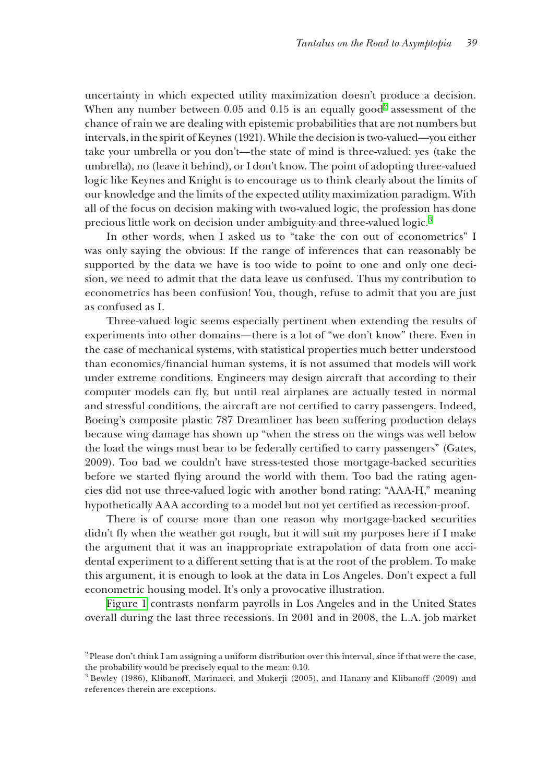uncertainty in which expected utility maximization doesn't produce a decision. When any number between  $0.05$  and  $0.15$  is an equally good<sup>2</sup> assessment of the chance of rain we are dealing with epistemic probabilities that are not numbers but intervals, in the spirit of Keynes (1921). While the decision is two-valued—you either take your umbrella or you don't—the state of mind is three-valued: yes (take the umbrella), no (leave it behind), or I don't know. The point of adopting three-valued logic like Keynes and Knight is to encourage us to think clearly about the limits of our knowledge and the limits of the expected utility maximization paradigm. With all of the focus on decision making with two-valued logic, the profession has done precious little work on decision under ambiguity and three-valued logic. $^3$ 

In other words, when I asked us to "take the con out of econometrics" I was only saying the obvious: If the range of inferences that can reasonably be supported by the data we have is too wide to point to one and only one decision, we need to admit that the data leave us confused. Thus my contribution to econometrics has been confusion! You, though, refuse to admit that you are just conometrics has been confusion! You, though, refuse to admit that you are just as confused as I.

Three-valued logic seems especially pertinent when extending the results of experiments into other domains—there is a lot of "we don't know" there. Even in the case of mechanical systems, with statistical properties much better understood than economics/financial human systems, it is not assumed that models will work under extreme conditions. Engineers may design aircraft that according to their computer models can fly, but until real airplanes are actually tested in normal and stressful conditions, the aircraft are not certified to carry passengers. Indeed, Boeing's composite plastic 787 Dreamliner has been suffering production delays because wing damage has shown up "when the stress on the wings was well below the load the wings must bear to be federally certified to carry passengers" (Gates, 2009). Too bad we couldn't have stress-tested those mortgage-backed securities 009). Too bad we couldn't have stress-tested those mortgage-backed securities before we started flying around the world with them. Too bad the rating agencies did not use three-valued logic with another bond rating: "AAA-H," meaning hypothetically AAA according to a model but not yet certified as recession-proof.

There is of course more than one reason why mortgage-backed securities didn't fly when the weather got rough, but it will suit my purposes here if I make the argument that it was an inappropriate extrapolation of data from one accidental experiment to a different setting that is at the root of the problem. To make this argument, it is enough to look at the data in Los Angeles. Don't expect a full econometric housing model. It's only a provocative illustration.

[Figure 1](#page-9-0) contrasts nonfarm payrolls in Los Angeles and in the United States overall during the last three recessions. In 2001 and in 2008, the L.A. job market

 $2$  Please don't think I am assigning a uniform distribution over this interval, since if that were the case, the probability would be precisely equal to the mean: 0.10.

<sup>3</sup> Bewley (1986), Klibanoff, Marinacci, and Mukerji (2005), and Hanany and Klibanoff (2009) and references therein are exceptions.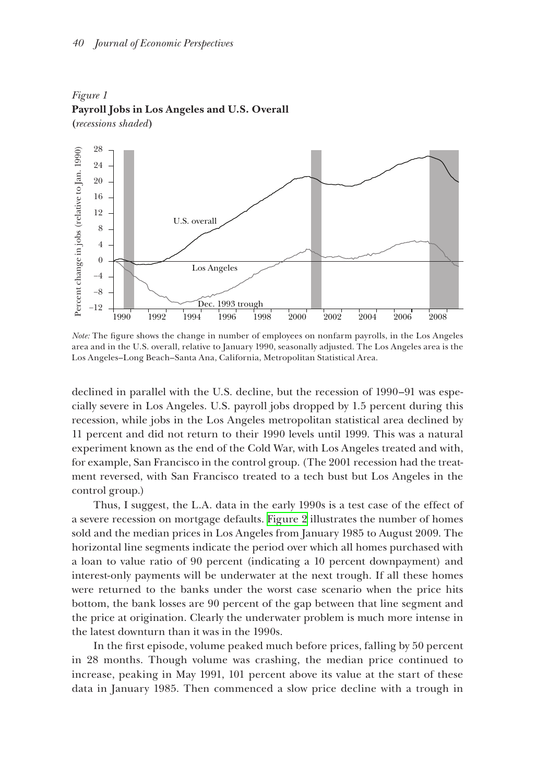<span id="page-9-0"></span>*Figure 1* **Payroll Jobs in Los Angeles and U.S. Overall (***recessions shaded***)**



*Note:* The figure shows the change in number of employees on nonfarm payrolls, in the Los Angeles area and in the U.S. overall, relative to January 1990, seasonally adjusted. The Los Angeles area is the Los Angeles–Long Beach–Santa Ana, California, Metropolitan Statistical Area.

declined in parallel with the U.S. decline, but the recession of 1990–91 was especially severe in Los Angeles. U.S. payroll jobs dropped by 1.5 percent during this recession, while jobs in the Los Angeles metropolitan statistical area declined by 11 percent and did not return to their 1990 levels until 1999. This was a natural experiment known as the end of the Cold War, with Los Angeles treated and with, for example, San Francisco in the control group. (The 2001 recession had the treatment reversed, with San Francisco treated to a tech bust but Los Angeles in the control group.)

Thus, I suggest, the L.A. data in the early 1990s is a test case of the effect of a severe recession on mortgage defaults. [Figure 2](#page-10-0) illustrates the number of homes sold and the median prices in Los Angeles from January 1985 to August 2009. The horizontal line segments indicate the period over which all homes purchased with a loan to value ratio of 90 percent (indicating a 10 percent downpayment) and interest-only payments will be underwater at the next trough. If all these homes were returned to the banks under the worst case scenario when the price hits bottom, the bank losses are 90 percent of the gap between that line segment and the price at origination. Clearly the underwater problem is much more intense in the latest downturn than it was in the 1990s.

In the first episode, volume peaked much before prices, falling by 50 percent in 28 months. Though volume was crashing, the median price continued to increase, peaking in May 1991, 101 percent above its value at the start of these data in January 1985. Then commenced a slow price decline with a trough in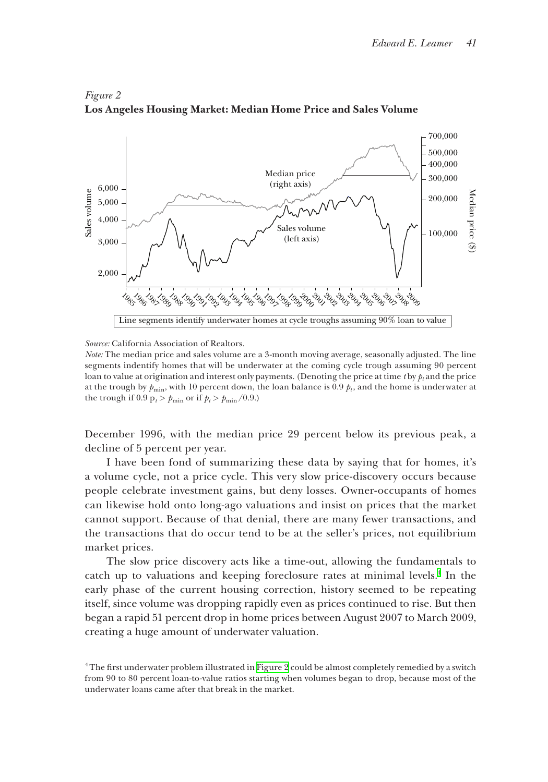

<span id="page-10-0"></span>*Figure 2* **Los Angeles Housing Market: Median Home Price and Sales Volume**

*Source:* California Association of Realtors.

*Note:* The median price and sales volume are a 3-month moving average, seasonally adjusted. The line segments indentify homes that will be underwater at the coming cycle trough assuming 90 percent loan to value at origination and interest only payments. (Denoting the price at time  $t$  by  $p_t$  and the price at the trough by  $p_{\text{min}}$ , with 10 percent down, the loan balance is 0.9  $p_t$ , and the home is underwater at the trough if  $0.9 \text{ p}_t > p_{\text{min}}$  or if  $p_t > p_{\text{min}}/0.9$ .)

December 1996, with the median price 29 percent below its previous peak, a decline of 5 percent per year.

I have been fond of summarizing these data by saying that for homes, it's a volume cycle, not a price cycle. This very slow price-discovery occurs because people celebrate investment gains, but deny losses. Owner-occupants of homes can likewise hold onto long-ago valuations and insist on prices that the market cannot support. Because of that denial, there are many fewer transactions, and the transactions that do occur tend to be at the seller's prices, not equilibrium market prices.

The slow price discovery acts like a time-out, allowing the fundamentals to catch up to valuations and keeping foreclosure rates at minimal levels.<sup>4</sup> In the early phase of the current housing correction, history seemed to be repeating itself, since volume was dropping rapidly even as prices continued to rise. But then began a rapid 51 percent drop in home prices between August 2007 to March 2009, creating a huge amount of underwater valuation.

<sup>&</sup>lt;sup>4</sup>The first underwater problem illustrated in Figure 2 could be almost completely remedied by a switch from 90 to 80 percent loan-to-value ratios starting when volumes began to drop, because most of the underwater loans came after that break in the market.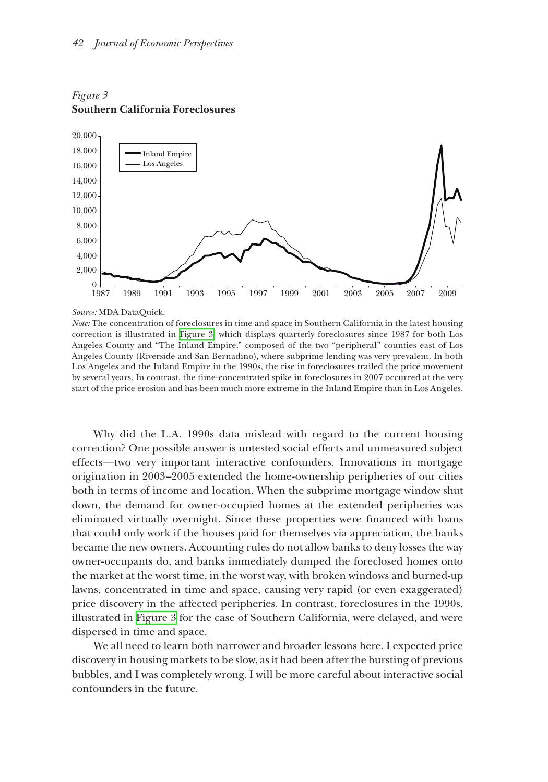

## *Figure 3* **Southern California Foreclosures**

#### *Source:* MDA DataQuick.

*Note:* The concentration of foreclosures in time and space in Southern California in the latest housing correction is illustrated in Figure 3, which displays quarterly foreclosures since 1987 for both Los Angeles County and "The Inland Empire," composed of the two "peripheral" counties east of Los Angeles County (Riverside and San Bernadino), where subprime lending was very prevalent. In both Los Angeles and the Inland Empire in the 1990s, the rise in foreclosures trailed the price movement by several years. In contrast, the time-concentrated spike in foreclosures in 2007 occurred at the very start of the price erosion and has been much more extreme in the Inland Empire than in Los Angeles.

Why did the L.A. 1990s data mislead with regard to the current housing correction? One possible answer is untested social effects and unmeasured subject effects—two very important interactive confounders. Innovations in mortgage origination in 2003–2005 extended the home-ownership peripheries of our cities both in terms of income and location. When the subprime mortgage window shut down, the demand for owner-occupied homes at the extended peripheries was eliminated virtually overnight. Since these properties were financed with loans that could only work if the houses paid for themselves via appreciation, the banks became the new owners. Accounting rules do not allow banks to deny losses the way owner-occupants do, and banks immediately dumped the foreclosed homes onto the market at the worst time, in the worst way, with broken windows and burned-up lawns, concentrated in time and space, causing very rapid (or even exaggerated) price discovery in the affected peripheries. In contrast, foreclosures in the 1990s, illustrated in Figure 3 for the case of Southern California, were delayed, and were dispersed in time and space.

We all need to learn both narrower and broader lessons here. I expected price discovery in housing markets to be slow, as it had been after the bursting of previous bubbles, and I was completely wrong. I will be more careful about interactive social confounders in the future.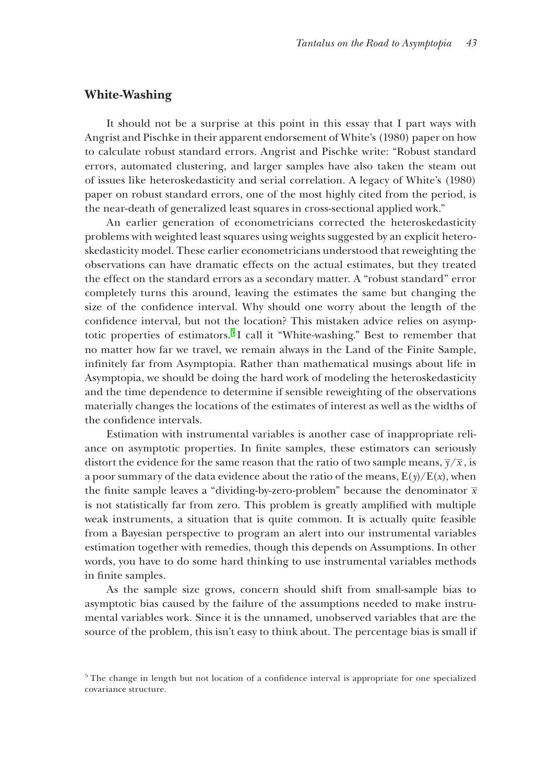### **White-Washing hite-Washing**

It should not be a surprise at this point in this essay that I part ways with  $\mathbf I$ Angrist and Pischke in their apparent endorsement of White's (1980) paper on how ngrist and Pischke in their apparent endorsement of White's (1980) paper on how to calculate robust standard errors. Angrist and Pischke write: "Robust standard errors, automated clustering, and larger samples have also taken the steam out of issues like heteroskedasticity and serial correlation. A legacy of White's (1980) paper on robust standard errors, one of the most highly cited from the period, is the near-death of generalized least squares in cross-sectional applied work."

An earlier generation of econometricians corrected the heteroskedasticity problems with weighted least squares using weights suggested by an explicit heteroskedasticity model. These earlier econometricians understood that reweighting the observations can have dramatic effects on the actual estimates, but they treated bservations can have dramatic effects on the actual estimates, but they treated the effect on the standard errors as a secondary matter. A "robust standard" error completely turns this around, leaving the estimates the same but changing the size of the confidence interval. Why should one worry about the length of the confidence interval, but not the location? This mistaken advice relies on asymptotic properties of estimators.<sup>5</sup> I call it "White-washing." Best to remember that no matter how far we travel, we remain always in the Land of the Finite Sample, infinitely far from Asymptopia. Rather than mathematical musings about life in Asymptopia, we should be doing the hard work of modeling the heteroskedasticity and the time dependence to determine if sensible reweighting of the observations materially changes the locations of the estimates of interest as well as the widths of the confidence intervals.

Estimation with instrumental variables is another case of inappropriate reliance on asymptotic properties. In finite samples, these estimators can seriously distort the evidence for the same reason that the ratio of two sample means,  $\bar{y}/\bar{x}$ , is a poor summary of the data evidence about the ratio of the means,  $E(y)/E(x)$ , when the finite sample leaves a "dividing-by-zero-problem" because the denominator  $\bar{x}$ is not statistically far from zero. This problem is greatly amplified with multiple weak instruments, a situation that is quite common. It is actually quite feasible from a Bayesian perspective to program an alert into our instrumental variables estimation together with remedies, though this depends on Assumptions. In other words, you have to do some hard thinking to use instrumental variables methods in finite samples.

As the sample size grows, concern should shift from small-sample bias to asymptotic bias caused by the failure of the assumptions needed to make instrumental variables work. Since it is the unnamed, unobserved variables that are the source of the problem, this isn't easy to think about. The percentage bias is small if

 $<sup>5</sup>$  The change in length but not location of a confidence interval is appropriate for one specialized</sup> covariance structure.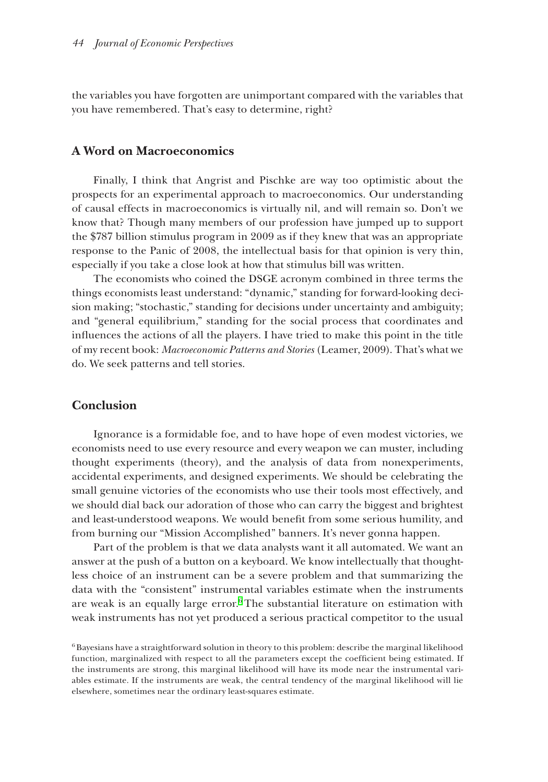the variables you have forgotten are unimportant compared with the variables that you have remembered. That's easy to determine, right?

## **A Word on Macroeconomics**

Finally, I think that Angrist and Pischke are way too optimistic about the prospects for an experimental approach to macroeconomics. Our understanding of causal effects in macroeconomics is virtually nil, and will remain so. Don't we know that? Though many members of our profession have jumped up to support the \$787 billion stimulus program in 2009 as if they knew that was an appropriate response to the Panic of 2008, the intellectual basis for that opinion is very thin, especially if you take a close look at how that stimulus bill was written.

The economists who coined the DSGE acronym combined in three terms the things economists least understand: "dynamic," standing for forward-looking decision making; "stochastic," standing for decisions under uncertainty and ambiguity; and "general equilibrium," standing for the social process that coordinates and influences the actions of all the players. I have tried to make this point in the title of my recent book: *Macroeconomic Patterns and Stories* (Leamer, 2009). That's what we do. We seek patterns and tell stories.

## **Conclusion onclusion**

Ignorance is a formidable foe, and to have hope of even modest victories, we economists need to use every resource and every weapon we can muster, including thought experiments (theory), and the analysis of data from nonexperiments, accidental experiments, and designed experiments. We should be celebrating the small genuine victories of the economists who use their tools most effectively, and we should dial back our adoration of those who can carry the biggest and brightest and least-understood weapons. We would benefit from some serious humility, and from burning our "Mission Accomplished" banners. It's never gonna happen.

Part of the problem is that we data analysts want it all automated. We want an answer at the push of a button on a keyboard. We know intellectually that thoughtless choice of an instrument can be a severe problem and that summarizing the data with the "consistent" instrumental variables estimate when the instruments are weak is an equally large error.<sup>6</sup> The substantial literature on estimation with weak instruments has not yet produced a serious practical competitor to the usual

<sup>6</sup> Bayesians have a straightforward solution in theory to this problem: describe the marginal likelihood function, marginalized with respect to all the parameters except the coefficient being estimated. If the instruments are strong, this marginal likelihood will have its mode near the instrumental variables estimate. If the instruments are weak, the central tendency of the marginal likelihood will lie elsewhere, sometimes near the ordinary least-squares estimate.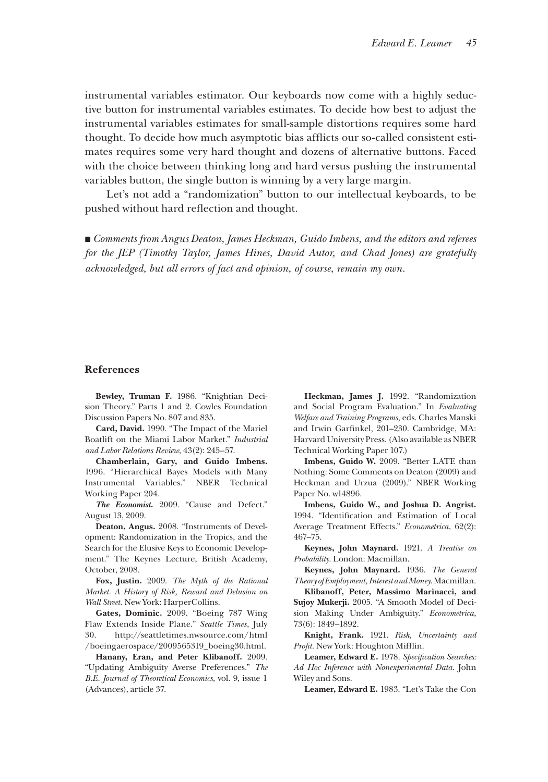instrumental variables estimator. Our keyboards now come with a highly seductive button for instrumental variables estimates. To decide how best to adjust the instrumental variables estimates for small-sample distortions requires some hard thought. To decide how much asymptotic bias afflicts our so-called consistent estimates requires some very hard thought and dozens of alternative buttons. Faced with the choice between thinking long and hard versus pushing the instrumental variables button, the single button is winning by a very large margin.

Let's not add a "randomization" button to our intellectual keyboards, to be pushed without hard reflection and thought.

■ *Comments from Angus Deaton, James Heckman, Guido Imbens, and the editors and referees for the JEP (Timothy Taylor, James Hines, David Autor, and Chad Jones) are gratefully acknowledged, but all errors of fact and opinion, of course, remain my own.*

#### **References**

**Bewley, Truman F.** 1986. "Knightian Decision Theory." Parts 1 and 2. Cowles Foundation Discussion Papers No. 807 and 835.

**Card, David.** 1990. "The Impact of the Mariel Boatlift on the Miami Labor Market." *Industrial and Labor Relations Review*, 43(2): 245–57.

**Chamberlain, Gary, and Guido Imbens.**  1996. "Hierarchical Bayes Models with Many Instrumental Variables." NBER Technical Working Paper 204.

*The Economist***.** 2009. "Cause and Defect." August 13, 2009.

**Deaton, Angus.** 2008. "Instruments of Development: Randomization in the Tropics, and the Search for the Elusive Keys to Economic Development." The Keynes Lecture, British Academy, October, 2008.

**Fox, Justin.** 2009. *The Myth of the Rational Market. A History of Risk, Reward and Delusion on Wall Street*. New York: HarperCollins.

**Gates, Dominic.** 2009. "Boeing 787 Wing Flaw Extends Inside Plane." *Seattle Times*, July 30. http://seattletimes.nwsource.com/html /boeingaerospace/2009565319\_boeing30.html.

**Hanany, Eran, and Peter Klibanoff.** 2009. "Updating Ambiguity Averse Preferences." *The B.E. Journal of Theoretical Economics*, vol. 9, issue 1 (Advances), article 37.

**Heckman, James J.** 1992. "Randomization and Social Program Evaluation." In *Evaluating Welfare and Training Programs*, eds. Charles Manski and Irwin Garfinkel, 201-230. Cambridge, MA: Harvard University Press. (Also available as NBER Technical Working Paper 107.)

**Imbens, Guido W.** 2009. "Better LATE than Nothing: Some Comments on Deaton (2009) and Heckman and Urzua (2009)." NBER Working Paper No. w14896.

**Imbens, Guido W., and Joshua D. Angrist.**  1994. "Identification and Estimation of Local Average Treatment Effects." *Econometrica*, 62(2): 467–75.

**Keynes, John Maynard.** 1921. *A Treatise on Probability*. London: Macmillan.

**Keynes, John Maynard.** 1936. *The General Theory of Employment, Interest and Money*. Macmillan.

**Klibanoff, Peter, Massimo Marinacci, and Sujoy Mukerji.** 2005. "A Smooth Model of Decision Making Under Ambiguity." *Econometrica*, 73(6): 1849–1892.

**Knight, Frank.** 1921. *Risk, Uncertainty and*  Profit. New York: Houghton Mifflin.

Leamer, Edward E. 1978. *Specification Searches: Ad Hoc Inference with Nonexperimental Data*. John Wiley and Sons.

**Leamer, Edward E.** 1983. "Let's Take the Con